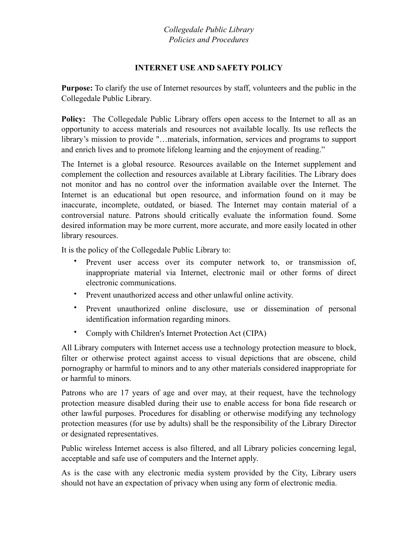## *Collegedale Public Library Policies and Procedures*

### **INTERNET USE AND SAFETY POLICY**

**Purpose:** To clarify the use of Internet resources by staff, volunteers and the public in the Collegedale Public Library.

**Policy:** The Collegedale Public Library offers open access to the Internet to all as an opportunity to access materials and resources not available locally. Its use reflects the library's mission to provide "…materials, information, services and programs to support and enrich lives and to promote lifelong learning and the enjoyment of reading."

The Internet is a global resource. Resources available on the Internet supplement and complement the collection and resources available at Library facilities. The Library does not monitor and has no control over the information available over the Internet. The Internet is an educational but open resource, and information found on it may be inaccurate, incomplete, outdated, or biased. The Internet may contain material of a controversial nature. Patrons should critically evaluate the information found. Some desired information may be more current, more accurate, and more easily located in other library resources.

It is the policy of the Collegedale Public Library to:

- Prevent user access over its computer network to, or transmission of, inappropriate material via Internet, electronic mail or other forms of direct electronic communications.
- Prevent unauthorized access and other unlawful online activity.
- Prevent unauthorized online disclosure, use or dissemination of personal identification information regarding minors.
- Comply with Children's Internet Protection Act (CIPA)

All Library computers with Internet access use a technology protection measure to block, filter or otherwise protect against access to visual depictions that are obscene, child pornography or harmful to minors and to any other materials considered inappropriate for or harmful to minors.

Patrons who are 17 years of age and over may, at their request, have the technology protection measure disabled during their use to enable access for bona fide research or other lawful purposes. Procedures for disabling or otherwise modifying any technology protection measures (for use by adults) shall be the responsibility of the Library Director or designated representatives.

Public wireless Internet access is also filtered, and all Library policies concerning legal, acceptable and safe use of computers and the Internet apply.

As is the case with any electronic media system provided by the City, Library users should not have an expectation of privacy when using any form of electronic media.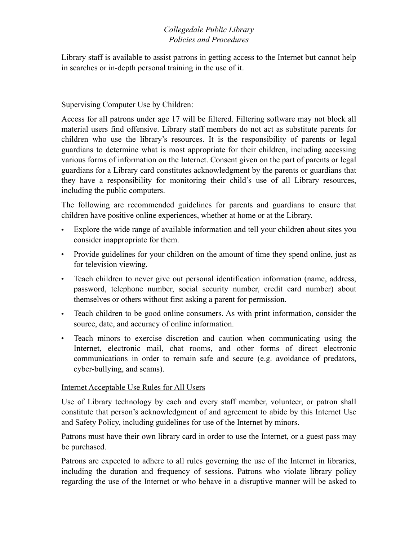# *Collegedale Public Library Policies and Procedures*

Library staff is available to assist patrons in getting access to the Internet but cannot help in searches or in-depth personal training in the use of it.

#### Supervising Computer Use by Children:

Access for all patrons under age 17 will be filtered. Filtering software may not block all material users find offensive. Library staff members do not act as substitute parents for children who use the library's resources. It is the responsibility of parents or legal guardians to determine what is most appropriate for their children, including accessing various forms of information on the Internet. Consent given on the part of parents or legal guardians for a Library card constitutes acknowledgment by the parents or guardians that they have a responsibility for monitoring their child's use of all Library resources, including the public computers.

The following are recommended guidelines for parents and guardians to ensure that children have positive online experiences, whether at home or at the Library.

- Explore the wide range of available information and tell your children about sites you consider inappropriate for them.
- Provide guidelines for your children on the amount of time they spend online, just as for television viewing.
- Teach children to never give out personal identification information (name, address, password, telephone number, social security number, credit card number) about themselves or others without first asking a parent for permission.
- Teach children to be good online consumers. As with print information, consider the source, date, and accuracy of online information.
- Teach minors to exercise discretion and caution when communicating using the Internet, electronic mail, chat rooms, and other forms of direct electronic communications in order to remain safe and secure (e.g. avoidance of predators, cyber-bullying, and scams).

#### Internet Acceptable Use Rules for All Users

Use of Library technology by each and every staff member, volunteer, or patron shall constitute that person's acknowledgment of and agreement to abide by this Internet Use and Safety Policy, including guidelines for use of the Internet by minors.

Patrons must have their own library card in order to use the Internet, or a guest pass may be purchased.

Patrons are expected to adhere to all rules governing the use of the Internet in libraries, including the duration and frequency of sessions. Patrons who violate library policy regarding the use of the Internet or who behave in a disruptive manner will be asked to